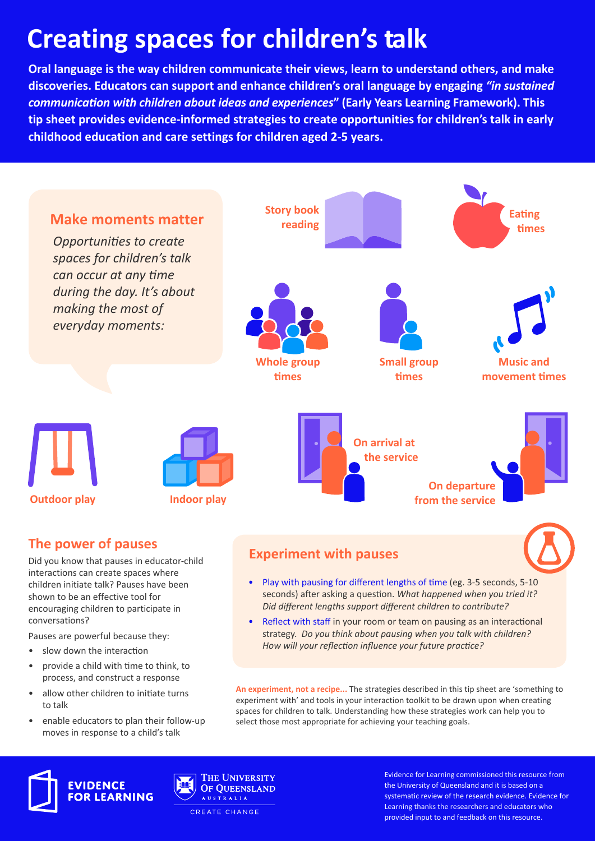# **Creating spaces for children's talk**

**Oral language is the way children communicate their views, learn to understand others, and make discoveries. Educators can support and enhance children's oral language by engaging** *"in sustained communication with children about ideas and experiences***" (Early Years Learning Framework). This tip sheet provides evidence-informed strategies to create opportunities for children's talk in early childhood education and care settings for children aged 2-5 years.**



- Pauses are powerful because they:
- slow down the interaction
- provide a child with time to think, to process, and construct a response
- allow other children to initiate turns to talk
- enable educators to plan their follow-up moves in response to a child's talk
- Reflect with staff in your room or team on pausing as an interactional strategy. *Do you think about pausing when you talk with children? How will your reflection influence your future practice?*

**An experiment, not a recipe...** The strategies described in this tip sheet are 'something to experiment with' and tools in your interaction toolkit to be drawn upon when creating spaces for children to talk. Understanding how these strategies work can help you to select those most appropriate for achieving your teaching goals.





**THE UNIVERSITY** OF OUEENSLAND AUSTRALIA

CREATE CHANGE

Evidence for Learning commissioned this resource from the University of Queensland and it is based on a systematic review of the research evidence. Evidence for Learning thanks the researchers and educators who provided input to and feedback on this resource.